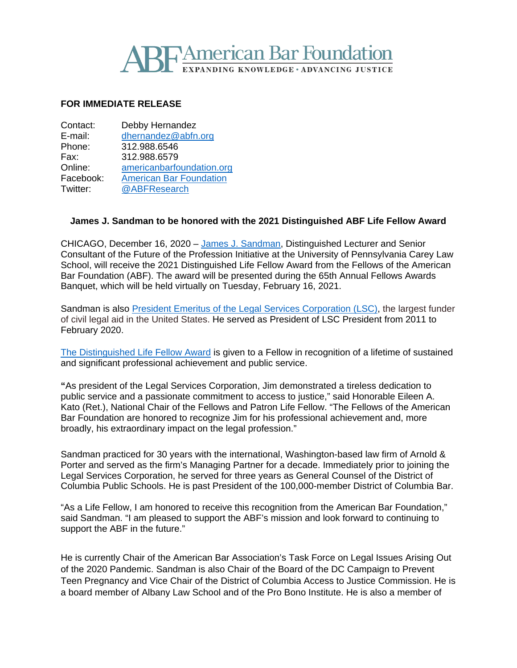

## **FOR IMMEDIATE RELEASE**

| Contact:  | Debby Hernandez                |
|-----------|--------------------------------|
| E-mail:   | dhernandez@abfn.org            |
| Phone:    | 312.988.6546                   |
| Fax:      | 312.988.6579                   |
| Online:   | americanbarfoundation.org      |
| Facebook: | <b>American Bar Foundation</b> |
| Twitter:  | @ABFResearch                   |

## **James J. Sandman to be honored with the 2021 Distinguished ABF Life Fellow Award**

CHICAGO, December 16, 2020 – [James J. Sandman,](https://www.law.upenn.edu/cf/faculty/sandmanj/) Distinguished Lecturer and Senior Consultant of the Future of the Profession Initiative at the University of Pennsylvania Carey Law School, will receive the 2021 Distinguished Life Fellow Award from the Fellows of the American Bar Foundation (ABF). The award will be presented during the 65th Annual Fellows Awards Banquet, which will be held virtually on Tuesday, February 16, 2021.

Sandman is also [President Emeritus of the Legal Services Corporation \(LSC\),](https://www.lsc.gov/about-lsc/lsc-leadership/james-j-sandman) the largest funder of civil legal aid in the United States. He served as President of LSC President from 2011 to February 2020.

[The Distinguished Life Fellow Award](http://www.americanbarfoundation.org/fellows/Fellowsawards.html) is given to a Fellow in recognition of a lifetime of sustained and significant professional achievement and public service.

**"**As president of the Legal Services Corporation, Jim demonstrated a tireless dedication to public service and a passionate commitment to access to justice," said Honorable Eileen A. Kato (Ret.), National Chair of the Fellows and Patron Life Fellow. "The Fellows of the American Bar Foundation are honored to recognize Jim for his professional achievement and, more broadly, his extraordinary impact on the legal profession."

Sandman practiced for 30 years with the international, Washington-based law firm of Arnold & Porter and served as the firm's Managing Partner for a decade. Immediately prior to joining the Legal Services Corporation, he served for three years as General Counsel of the District of Columbia Public Schools. He is past President of the 100,000-member District of Columbia Bar.

"As a Life Fellow, I am honored to receive this recognition from the American Bar Foundation," said Sandman. "I am pleased to support the ABF's mission and look forward to continuing to support the ABF in the future."

He is currently Chair of the American Bar Association's Task Force on Legal Issues Arising Out of the 2020 Pandemic. Sandman is also Chair of the Board of the DC Campaign to Prevent Teen Pregnancy and Vice Chair of the District of Columbia Access to Justice Commission. He is a board member of Albany Law School and of the Pro Bono Institute. He is also a member of